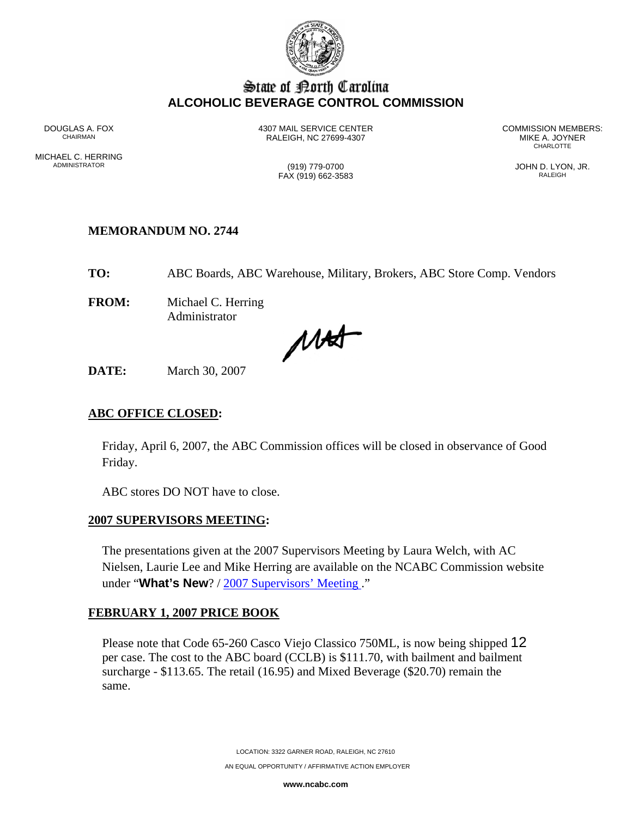

# State of Borth Carolina **ALCOHOLIC BEVERAGE CONTROL COMMISSION**

MICHAEL C. HERRING<br>ADMINISTRATOR

RALEIGH, NC 27699-4307 MIKE A. JOYNER AND MIKE A. JOYNER AND READ OF THE REAL PROPERTY.

DOUGLAS A. FOX 4307 MAIL SERVICE CENTER COMMISSION MEMBERS: **CHARLOTTE** 

> (919) 779-0700 (919) 779-0700 JOHN D. LYON, JR. FAX (919) 662-3583

### **MEMORANDUM NO. 2744**

**TO:** ABC Boards, ABC Warehouse, Military, Brokers, ABC Store Comp. Vendors

**FROM:** Michael C. Herring Administrator

MAST

**DATE:** March 30, 2007

#### **ABC OFFICE CLOSED:**

Friday, April 6, 2007, the ABC Commission offices will be closed in observance of Good Friday.

ABC stores DO NOT have to close.

### **2007 SUPERVISORS MEETING:**

The presentations given at the 2007 Supervisors Meeting by Laura Welch, with AC Nielsen, Laurie Lee and Mike Herring are available on the NCABC Commission website under "**What's New**? / 2007 Supervisors' Meeting ."

### **FEBRUARY 1, 2007 PRICE BOOK**

Please note that Code 65-260 Casco Viejo Classico 750ML, is now being shipped 12 per case. The cost to the ABC board (CCLB) is \$111.70, with bailment and bailment surcharge - \$113.65. The retail (16.95) and Mixed Beverage (\$20.70) remain the same.

> LOCATION: 3322 GARNER ROAD, RALEIGH, NC 27610 AN EQUAL OPPORTUNITY / AFFIRMATIVE ACTION EMPLOYER

> > **www.ncabc.com**